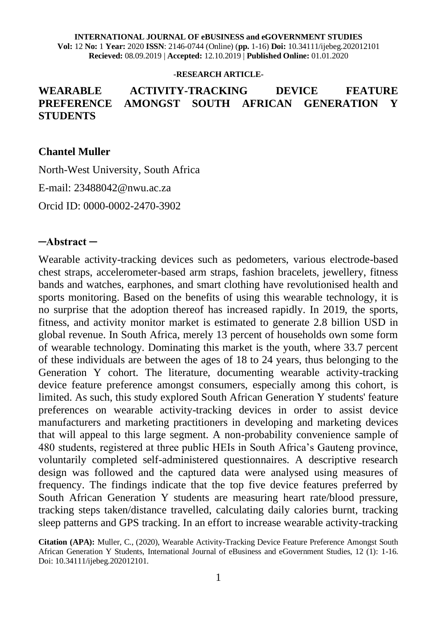**INTERNATIONAL JOURNAL OF eBUSINESS and eGOVERNMENT STUDIES Vol:** 12 **No:** 1 **Year:** 2020 **ISSN**: 2146-0744 (Online) (**pp.** 1-16) **Doi:** 10.34111/ijebeg.202012101 **Recieved:** 08.09.2019 | **Accepted:** 12.10.2019 | **Published Online:** 01.01.2020

#### **-RESEARCH ARTICLE-**

#### **WEARABLE ACTIVITY-TRACKING DEVICE FEATURE PREFERENCE AMONGST SOUTH AFRICAN GENERATION Y STUDENTS**

#### **Chantel Muller**

North-West University, South Africa

E-mail: 23488042@nwu.ac.za

Orcid ID: [0000-0002-2470-3902](https://orcid.org/0000-0002-2470-3902)

#### **─Abstract ─**

Wearable activity-tracking devices such as pedometers, various electrode-based chest straps, accelerometer-based arm straps, fashion bracelets, jewellery, fitness bands and watches, earphones, and smart clothing have revolutionised health and sports monitoring. Based on the benefits of using this wearable technology, it is no surprise that the adoption thereof has increased rapidly. In 2019, the sports, fitness, and activity monitor market is estimated to generate 2.8 billion USD in global revenue. In South Africa, merely 13 percent of households own some form of wearable technology. Dominating this market is the youth, where 33.7 percent of these individuals are between the ages of 18 to 24 years, thus belonging to the Generation Y cohort. The literature, documenting wearable activity-tracking device feature preference amongst consumers, especially among this cohort, is limited. As such, this study explored South African Generation Y students' feature preferences on wearable activity-tracking devices in order to assist device manufacturers and marketing practitioners in developing and marketing devices that will appeal to this large segment. A non-probability convenience sample of 480 students, registered at three public HEIs in South Africa's Gauteng province, voluntarily completed self-administered questionnaires. A descriptive research design was followed and the captured data were analysed using measures of frequency. The findings indicate that the top five device features preferred by South African Generation Y students are measuring heart rate/blood pressure, tracking steps taken/distance travelled, calculating daily calories burnt, tracking sleep patterns and GPS tracking. In an effort to increase wearable activity-tracking

**Citation (APA):** Muller, C., (2020), Wearable Activity-Tracking Device Feature Preference Amongst South African Generation Y Students, International Journal of eBusiness and eGovernment Studies, 12 (1): 1-16. Doi: 10.34111/ijebeg.202012101.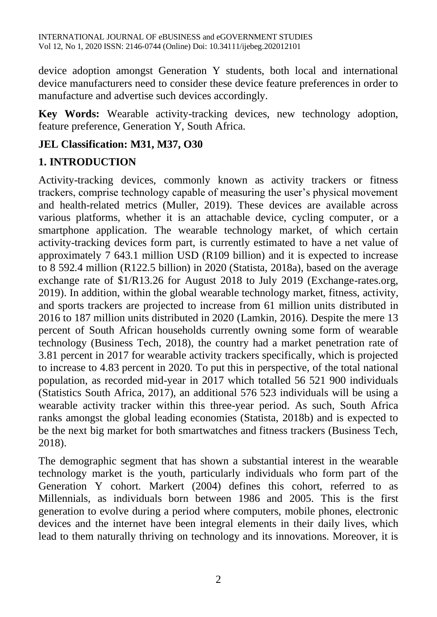device adoption amongst Generation Y students, both local and international device manufacturers need to consider these device feature preferences in order to manufacture and advertise such devices accordingly.

**Key Words:** Wearable activity-tracking devices, new technology adoption, feature preference, Generation Y, South Africa.

### **JEL Classification: M31, M37, O30**

# **1. INTRODUCTION**

Activity-tracking devices, commonly known as activity trackers or fitness trackers, comprise technology capable of measuring the user's physical movement and health-related metrics (Muller, 2019). These devices are available across various platforms, whether it is an attachable device, cycling computer, or a smartphone application. The wearable technology market, of which certain activity-tracking devices form part, is currently estimated to have a net value of approximately 7 643.1 million USD (R109 billion) and it is expected to increase to 8 592.4 million (R122.5 billion) in 2020 (Statista, 2018a), based on the average exchange rate of \$1/R13.26 for August 2018 to July 2019 (Exchange-rates.org, 2019). In addition, within the global wearable technology market, fitness, activity, and sports trackers are projected to increase from 61 million units distributed in 2016 to 187 million units distributed in 2020 (Lamkin, 2016). Despite the mere 13 percent of South African households currently owning some form of wearable technology (Business Tech, 2018), the country had a market penetration rate of 3.81 percent in 2017 for wearable activity trackers specifically, which is projected to increase to 4.83 percent in 2020. To put this in perspective, of the total national population, as recorded mid-year in 2017 which totalled 56 521 900 individuals (Statistics South Africa, 2017), an additional 576 523 individuals will be using a wearable activity tracker within this three-year period. As such, South Africa ranks amongst the global leading economies (Statista, 2018b) and is expected to be the next big market for both smartwatches and fitness trackers (Business Tech, 2018).

The demographic segment that has shown a substantial interest in the wearable technology market is the youth, particularly individuals who form part of the Generation Y cohort. Markert (2004) defines this cohort, referred to as Millennials, as individuals born between 1986 and 2005. This is the first generation to evolve during a period where computers, mobile phones, electronic devices and the internet have been integral elements in their daily lives, which lead to them naturally thriving on technology and its innovations. Moreover, it is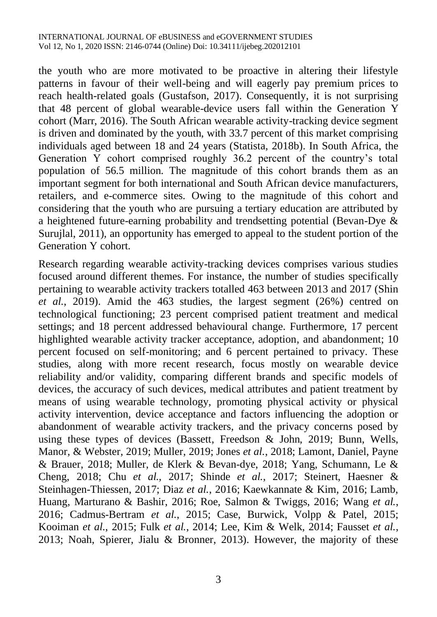the youth who are more motivated to be proactive in altering their lifestyle patterns in favour of their well-being and will eagerly pay premium prices to reach health-related goals (Gustafson, 2017). Consequently, it is not surprising that 48 percent of global wearable-device users fall within the Generation Y cohort (Marr, 2016). The South African wearable activity-tracking device segment is driven and dominated by the youth, with 33.7 percent of this market comprising individuals aged between 18 and 24 years (Statista, 2018b). In South Africa, the Generation Y cohort comprised roughly 36.2 percent of the country's total population of 56.5 million. The magnitude of this cohort brands them as an important segment for both international and South African device manufacturers, retailers, and e-commerce sites. Owing to the magnitude of this cohort and considering that the youth who are pursuing a tertiary education are attributed by a heightened future-earning probability and trendsetting potential (Bevan-Dye & Surujlal, 2011), an opportunity has emerged to appeal to the student portion of the Generation Y cohort.

Research regarding wearable activity-tracking devices comprises various studies focused around different themes. For instance, the number of studies specifically pertaining to wearable activity trackers totalled 463 between 2013 and 2017 (Shin *et al.*, 2019). Amid the 463 studies, the largest segment (26%) centred on technological functioning; 23 percent comprised patient treatment and medical settings; and 18 percent addressed behavioural change. Furthermore, 17 percent highlighted wearable activity tracker acceptance, adoption, and abandonment; 10 percent focused on self-monitoring; and 6 percent pertained to privacy. These studies, along with more recent research, focus mostly on wearable device reliability and/or validity, comparing different brands and specific models of devices, the accuracy of such devices, medical attributes and patient treatment by means of using wearable technology, promoting physical activity or physical activity intervention, device acceptance and factors influencing the adoption or abandonment of wearable activity trackers, and the privacy concerns posed by using these types of devices (Bassett, Freedson & John, 2019; Bunn, Wells, Manor, & Webster, 2019; Muller, 2019; Jones *et al.*, 2018; Lamont, Daniel, Payne & Brauer, 2018; Muller, de Klerk & Bevan-dye, 2018; Yang, Schumann, Le & Cheng, 2018; Chu *et al.*, 2017; Shinde *et al.*, 2017; Steinert, Haesner & Steinhagen-Thiessen, 2017; Diaz *et al.*, 2016; Kaewkannate & Kim, 2016; Lamb, Huang, Marturano & Bashir, 2016; Roe, Salmon & Twiggs, 2016; Wang *et al.*, 2016; Cadmus-Bertram *et al.*, 2015; Case, Burwick, Volpp & Patel, 2015; Kooiman *et al.*, 2015; Fulk *et al.*, 2014; Lee, Kim & Welk, 2014; Fausset *et al.*, 2013; Noah, Spierer, Jialu & Bronner, 2013). However, the majority of these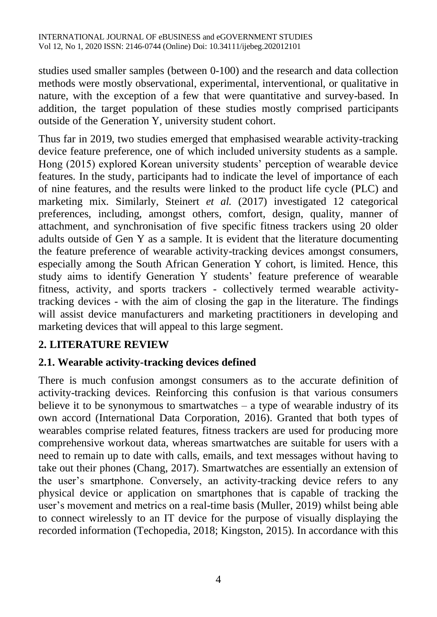studies used smaller samples (between 0-100) and the research and data collection methods were mostly observational, experimental, interventional, or qualitative in nature, with the exception of a few that were quantitative and survey-based. In addition, the target population of these studies mostly comprised participants outside of the Generation Y, university student cohort.

Thus far in 2019, two studies emerged that emphasised wearable activity-tracking device feature preference, one of which included university students as a sample. Hong (2015) explored Korean university students' perception of wearable device features. In the study, participants had to indicate the level of importance of each of nine features, and the results were linked to the product life cycle (PLC) and marketing mix. Similarly, Steinert *et al.* (2017) investigated 12 categorical preferences, including, amongst others, comfort, design, quality, manner of attachment, and synchronisation of five specific fitness trackers using 20 older adults outside of Gen Y as a sample. It is evident that the literature documenting the feature preference of wearable activity-tracking devices amongst consumers, especially among the South African Generation Y cohort, is limited. Hence, this study aims to identify Generation Y students' feature preference of wearable fitness, activity, and sports trackers - collectively termed wearable activitytracking devices - with the aim of closing the gap in the literature. The findings will assist device manufacturers and marketing practitioners in developing and marketing devices that will appeal to this large segment.

## **2. LITERATURE REVIEW**

#### **2.1. Wearable activity-tracking devices defined**

There is much confusion amongst consumers as to the accurate definition of activity-tracking devices. Reinforcing this confusion is that various consumers believe it to be synonymous to smartwatches  $-$  a type of wearable industry of its own accord (International Data Corporation, 2016). Granted that both types of wearables comprise related features, fitness trackers are used for producing more comprehensive workout data, whereas smartwatches are suitable for users with a need to remain up to date with calls, emails, and text messages without having to take out their phones (Chang, 2017). Smartwatches are essentially an extension of the user's smartphone. Conversely, an activity-tracking device refers to any physical device or application on smartphones that is capable of tracking the user's movement and metrics on a real-time basis (Muller, 2019) whilst being able to connect wirelessly to an IT device for the purpose of visually displaying the recorded information (Techopedia, 2018; Kingston, 2015). In accordance with this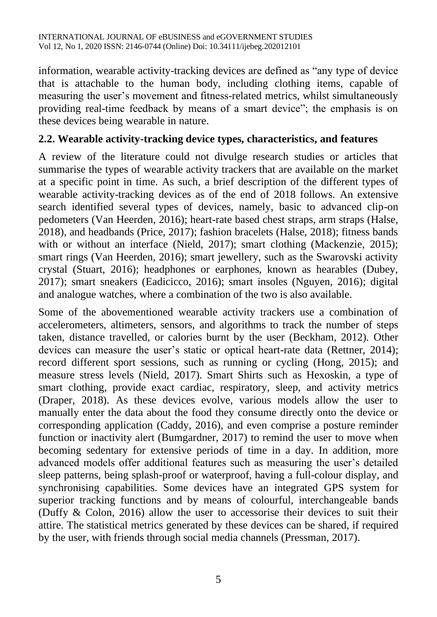information, wearable activity-tracking devices are defined as "any type of device that is attachable to the human body, including clothing items, capable of measuring the user's movement and fitness-related metrics, whilst simultaneously providing real-time feedback by means of a smart device"; the emphasis is on these devices being wearable in nature.

#### **2.2. Wearable activity-tracking device types, characteristics, and features**

A review of the literature could not divulge research studies or articles that summarise the types of wearable activity trackers that are available on the market at a specific point in time. As such, a brief description of the different types of wearable activity-tracking devices as of the end of 2018 follows. An extensive search identified several types of devices, namely, basic to advanced clip-on pedometers (Van Heerden, 2016); heart-rate based chest straps, arm straps (Halse, 2018), and headbands (Price, 2017); fashion bracelets (Halse, 2018); fitness bands with or without an interface (Nield, 2017); smart clothing (Mackenzie, 2015); smart rings (Van Heerden, 2016); smart jewellery, such as the Swarovski activity crystal (Stuart, 2016); headphones or earphones, known as hearables (Dubey, 2017); smart sneakers (Eadicicco, 2016); smart insoles (Nguyen, 2016); digital and analogue watches, where a combination of the two is also available.

Some of the abovementioned wearable activity trackers use a combination of accelerometers, altimeters, sensors, and algorithms to track the number of steps taken, distance travelled, or calories burnt by the user (Beckham, 2012). Other devices can measure the user's static or optical heart-rate data (Rettner, 2014); record different sport sessions, such as running or cycling (Hong, 2015); and measure stress levels (Nield, 2017). Smart Shirts such as Hexoskin, a type of smart clothing, provide exact cardiac, respiratory, sleep, and activity metrics (Draper, 2018). As these devices evolve, various models allow the user to manually enter the data about the food they consume directly onto the device or corresponding application (Caddy, 2016), and even comprise a posture reminder function or inactivity alert (Bumgardner, 2017) to remind the user to move when becoming sedentary for extensive periods of time in a day. In addition, more advanced models offer additional features such as measuring the user's detailed sleep patterns, being splash-proof or waterproof, having a full-colour display, and synchronising capabilities. Some devices have an integrated GPS system for superior tracking functions and by means of colourful, interchangeable bands (Duffy & Colon, 2016) allow the user to accessorise their devices to suit their attire. The statistical metrics generated by these devices can be shared, if required by the user, with friends through social media channels (Pressman, 2017).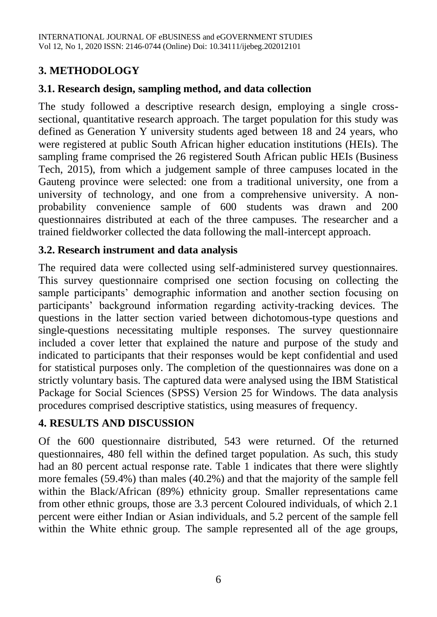## **3. METHODOLOGY**

## **3.1. Research design, sampling method, and data collection**

The study followed a descriptive research design, employing a single crosssectional, quantitative research approach. The target population for this study was defined as Generation Y university students aged between 18 and 24 years, who were registered at public South African higher education institutions (HEIs). The sampling frame comprised the 26 registered South African public HEIs (Business Tech, 2015), from which a judgement sample of three campuses located in the Gauteng province were selected: one from a traditional university, one from a university of technology, and one from a comprehensive university. A nonprobability convenience sample of 600 students was drawn and 200 questionnaires distributed at each of the three campuses. The researcher and a trained fieldworker collected the data following the mall-intercept approach.

#### **3.2. Research instrument and data analysis**

The required data were collected using self-administered survey questionnaires. This survey questionnaire comprised one section focusing on collecting the sample participants' demographic information and another section focusing on participants' background information regarding activity-tracking devices. The questions in the latter section varied between dichotomous-type questions and single-questions necessitating multiple responses. The survey questionnaire included a cover letter that explained the nature and purpose of the study and indicated to participants that their responses would be kept confidential and used for statistical purposes only. The completion of the questionnaires was done on a strictly voluntary basis. The captured data were analysed using the IBM Statistical Package for Social Sciences (SPSS) Version 25 for Windows. The data analysis procedures comprised descriptive statistics, using measures of frequency.

## **4. RESULTS AND DISCUSSION**

Of the 600 questionnaire distributed, 543 were returned. Of the returned questionnaires, 480 fell within the defined target population. As such, this study had an 80 percent actual response rate. Table 1 indicates that there were slightly more females (59.4%) than males (40.2%) and that the majority of the sample fell within the Black/African (89%) ethnicity group. Smaller representations came from other ethnic groups, those are 3.3 percent Coloured individuals, of which 2.1 percent were either Indian or Asian individuals, and 5.2 percent of the sample fell within the White ethnic group. The sample represented all of the age groups,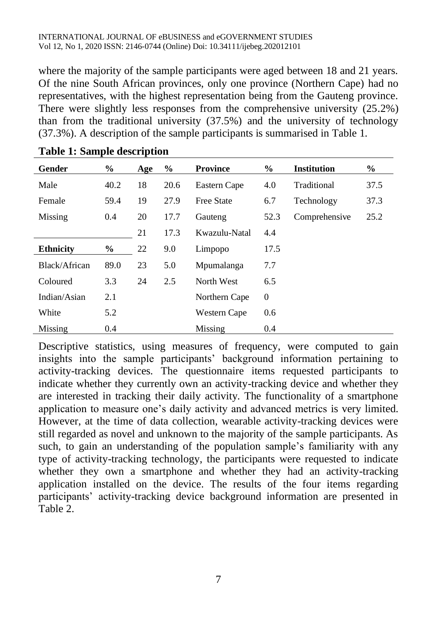where the majority of the sample participants were aged between 18 and 21 years. Of the nine South African provinces, only one province (Northern Cape) had no representatives, with the highest representation being from the Gauteng province. There were slightly less responses from the comprehensive university (25.2%) than from the traditional university (37.5%) and the university of technology (37.3%). A description of the sample participants is summarised in Table 1.

| Gender           | $\%$ | Age | $\%$ | <b>Province</b>   | $\%$         | <b>Institution</b> | $\%$ |
|------------------|------|-----|------|-------------------|--------------|--------------------|------|
| Male             | 40.2 | 18  | 20.6 | Eastern Cape      | 4.0          | Traditional        | 37.5 |
| Female           | 59.4 | 19  | 27.9 | <b>Free State</b> | 6.7          | Technology         | 37.3 |
| Missing          | 0.4  | 20  | 17.7 | Gauteng           | 52.3         | Comprehensive      | 25.2 |
|                  |      | 21  | 17.3 | Kwazulu-Natal     | 4.4          |                    |      |
| <b>Ethnicity</b> | $\%$ | 22  | 9.0  | Limpopo           | 17.5         |                    |      |
| Black/African    | 89.0 | 23  | 5.0  | Mpumalanga        | 7.7          |                    |      |
| Coloured         | 3.3  | 24  | 2.5  | North West        | 6.5          |                    |      |
| Indian/Asian     | 2.1  |     |      | Northern Cape     | $\mathbf{0}$ |                    |      |
| White            | 5.2  |     |      | Western Cape      | 0.6          |                    |      |
| Missing          | 0.4  |     |      | Missing           | 0.4          |                    |      |

Descriptive statistics, using measures of frequency, were computed to gain insights into the sample participants' background information pertaining to activity-tracking devices. The questionnaire items requested participants to indicate whether they currently own an activity-tracking device and whether they are interested in tracking their daily activity. The functionality of a smartphone application to measure one's daily activity and advanced metrics is very limited. However, at the time of data collection, wearable activity-tracking devices were still regarded as novel and unknown to the majority of the sample participants. As such, to gain an understanding of the population sample's familiarity with any type of activity-tracking technology, the participants were requested to indicate whether they own a smartphone and whether they had an activity-tracking application installed on the device. The results of the four items regarding participants' activity-tracking device background information are presented in Table 2.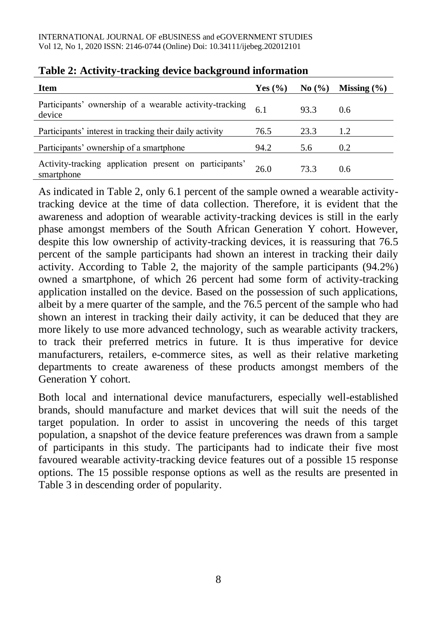| <b>Item</b>                                                          | Yes $(\% )$ | $\mathbf{No}(\% )$ | Missing $(\% )$ |
|----------------------------------------------------------------------|-------------|--------------------|-----------------|
| Participants' ownership of a wearable activity-tracking<br>device    |             | 93.3               | 0.6             |
| Participants' interest in tracking their daily activity              | 76.5        | 23.3               | 1.2             |
| Participants' ownership of a smartphone                              | 94.2        | 5.6                | 0.2             |
| Activity-tracking application present on participants'<br>smartphone | 26.0        | 73.3               | 0.6             |

#### **Table 2: Activity-tracking device background information**

As indicated in Table 2, only 6.1 percent of the sample owned a wearable activitytracking device at the time of data collection. Therefore, it is evident that the awareness and adoption of wearable activity-tracking devices is still in the early phase amongst members of the South African Generation Y cohort. However, despite this low ownership of activity-tracking devices, it is reassuring that 76.5 percent of the sample participants had shown an interest in tracking their daily activity. According to Table 2, the majority of the sample participants (94.2%) owned a smartphone, of which 26 percent had some form of activity-tracking application installed on the device. Based on the possession of such applications, albeit by a mere quarter of the sample, and the 76.5 percent of the sample who had shown an interest in tracking their daily activity, it can be deduced that they are more likely to use more advanced technology, such as wearable activity trackers, to track their preferred metrics in future. It is thus imperative for device manufacturers, retailers, e-commerce sites, as well as their relative marketing departments to create awareness of these products amongst members of the Generation Y cohort.

Both local and international device manufacturers, especially well-established brands, should manufacture and market devices that will suit the needs of the target population. In order to assist in uncovering the needs of this target population, a snapshot of the device feature preferences was drawn from a sample of participants in this study. The participants had to indicate their five most favoured wearable activity-tracking device features out of a possible 15 response options. The 15 possible response options as well as the results are presented in Table 3 in descending order of popularity.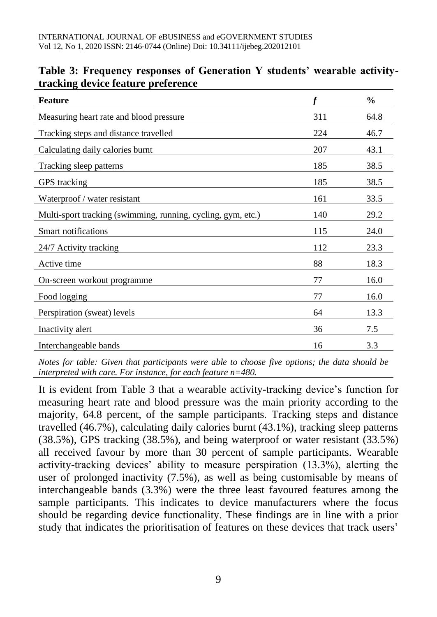| <b>Feature</b>                                               |     | $\frac{0}{0}$ |
|--------------------------------------------------------------|-----|---------------|
| Measuring heart rate and blood pressure                      | 311 | 64.8          |
| Tracking steps and distance travelled                        | 224 | 46.7          |
| Calculating daily calories burnt                             | 207 | 43.1          |
| Tracking sleep patterns                                      | 185 | 38.5          |
| GPS tracking                                                 | 185 | 38.5          |
| Waterproof / water resistant                                 | 161 | 33.5          |
| Multi-sport tracking (swimming, running, cycling, gym, etc.) | 140 | 29.2          |
| Smart notifications                                          | 115 | 24.0          |
| 24/7 Activity tracking                                       | 112 | 23.3          |
| Active time                                                  | 88  | 18.3          |
| On-screen workout programme                                  | 77  | 16.0          |
| Food logging                                                 | 77  | 16.0          |
| Perspiration (sweat) levels                                  | 64  | 13.3          |
| Inactivity alert                                             | 36  | 7.5           |
| Interchangeable bands                                        | 16  | 3.3           |

#### **Table 3: Frequency responses of Generation Y students' wearable activitytracking device feature preference**

*Notes for table: Given that participants were able to choose five options; the data should be interpreted with care. For instance, for each feature n=480.* 

It is evident from Table 3 that a wearable activity-tracking device's function for measuring heart rate and blood pressure was the main priority according to the majority, 64.8 percent, of the sample participants. Tracking steps and distance travelled (46.7%), calculating daily calories burnt (43.1%), tracking sleep patterns (38.5%), GPS tracking (38.5%), and being waterproof or water resistant (33.5%) all received favour by more than 30 percent of sample participants. Wearable activity-tracking devices' ability to measure perspiration (13.3%), alerting the user of prolonged inactivity (7.5%), as well as being customisable by means of interchangeable bands (3.3%) were the three least favoured features among the sample participants. This indicates to device manufacturers where the focus should be regarding device functionality. These findings are in line with a prior study that indicates the prioritisation of features on these devices that track users'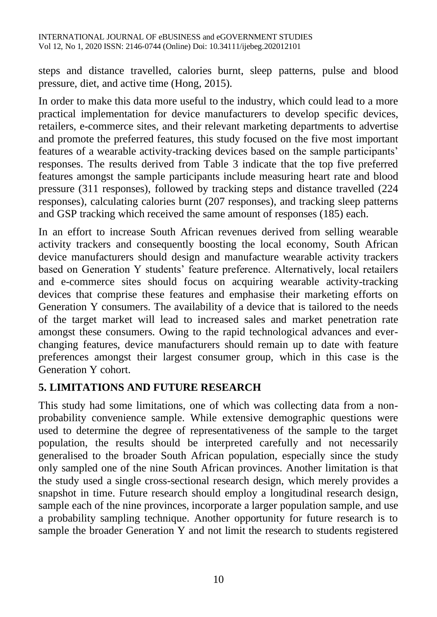steps and distance travelled, calories burnt, sleep patterns, pulse and blood pressure, diet, and active time (Hong, 2015).

In order to make this data more useful to the industry, which could lead to a more practical implementation for device manufacturers to develop specific devices, retailers, e-commerce sites, and their relevant marketing departments to advertise and promote the preferred features, this study focused on the five most important features of a wearable activity-tracking devices based on the sample participants' responses. The results derived from Table 3 indicate that the top five preferred features amongst the sample participants include measuring heart rate and blood pressure (311 responses), followed by tracking steps and distance travelled (224 responses), calculating calories burnt (207 responses), and tracking sleep patterns and GSP tracking which received the same amount of responses (185) each.

In an effort to increase South African revenues derived from selling wearable activity trackers and consequently boosting the local economy, South African device manufacturers should design and manufacture wearable activity trackers based on Generation Y students' feature preference. Alternatively, local retailers and e-commerce sites should focus on acquiring wearable activity-tracking devices that comprise these features and emphasise their marketing efforts on Generation Y consumers. The availability of a device that is tailored to the needs of the target market will lead to increased sales and market penetration rate amongst these consumers. Owing to the rapid technological advances and everchanging features, device manufacturers should remain up to date with feature preferences amongst their largest consumer group, which in this case is the Generation Y cohort.

## **5. LIMITATIONS AND FUTURE RESEARCH**

This study had some limitations, one of which was collecting data from a nonprobability convenience sample. While extensive demographic questions were used to determine the degree of representativeness of the sample to the target population, the results should be interpreted carefully and not necessarily generalised to the broader South African population, especially since the study only sampled one of the nine South African provinces. Another limitation is that the study used a single cross-sectional research design, which merely provides a snapshot in time. Future research should employ a longitudinal research design, sample each of the nine provinces, incorporate a larger population sample, and use a probability sampling technique. Another opportunity for future research is to sample the broader Generation Y and not limit the research to students registered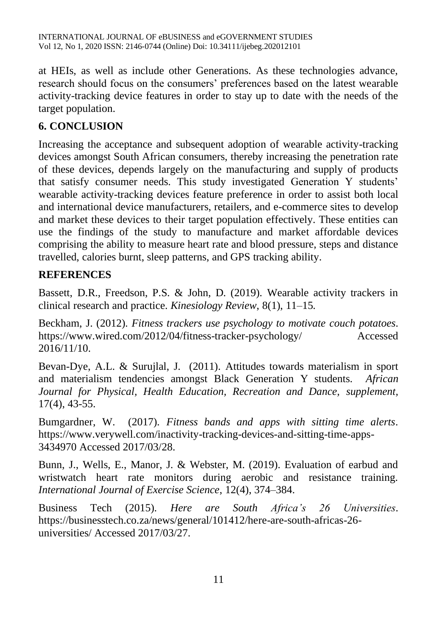at HEIs, as well as include other Generations. As these technologies advance, research should focus on the consumers' preferences based on the latest wearable activity-tracking device features in order to stay up to date with the needs of the target population.

# **6. CONCLUSION**

Increasing the acceptance and subsequent adoption of wearable activity-tracking devices amongst South African consumers, thereby increasing the penetration rate of these devices, depends largely on the manufacturing and supply of products that satisfy consumer needs. This study investigated Generation Y students' wearable activity-tracking devices feature preference in order to assist both local and international device manufacturers, retailers, and e-commerce sites to develop and market these devices to their target population effectively. These entities can use the findings of the study to manufacture and market affordable devices comprising the ability to measure heart rate and blood pressure, steps and distance travelled, calories burnt, sleep patterns, and GPS tracking ability.

## **REFERENCES**

Bassett, D.R., Freedson, P.S. & John, D. (2019). Wearable activity trackers in clinical research and practice. *Kinesiology Review*, 8(1), 11–15.

Beckham, J. (2012). *Fitness trackers use psychology to motivate couch potatoes*. https://www.wired.com/2012/04/fitness-tracker-psychology/ Accessed 2016/11/10.

Bevan-Dye, A.L. & Surujlal, J. (2011). Attitudes towards materialism in sport and materialism tendencies amongst Black Generation Y students. *African Journal for Physical, Health Education, Recreation and Dance, supplement,* 17(4), 43-55.

Bumgardner, W. (2017). *Fitness bands and apps with sitting time alerts*. https://www.verywell.com/inactivity-tracking-devices-and-sitting-time-apps-3434970 Accessed 2017/03/28.

Bunn, J., Wells, E., Manor, J. & Webster, M. (2019). Evaluation of earbud and wristwatch heart rate monitors during aerobic and resistance training. *International Journal of Exercise Science*, 12(4), 374–384.

Business Tech (2015). *Here are South Africa's 26 Universities*. https://businesstech.co.za/news/general/101412/here-are-south-africas-26 universities/ Accessed 2017/03/27.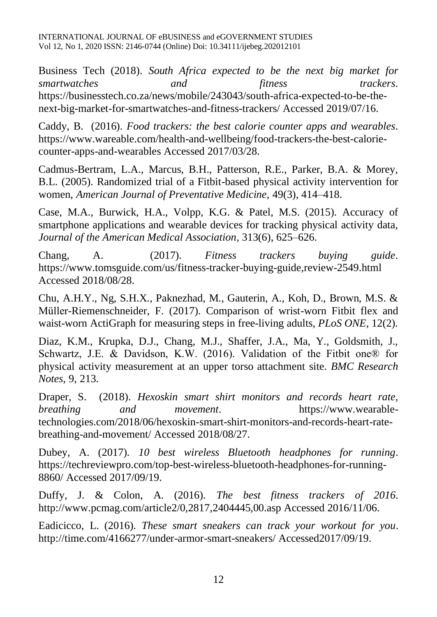Business Tech (2018). *South Africa expected to be the next big market for smartwatches and fitness trackers*. https://businesstech.co.za/news/mobile/243043/south-africa-expected-to-be-thenext-big-market-for-smartwatches-and-fitness-trackers/ Accessed 2019/07/16.

Caddy, B. (2016). *Food trackers: the best calorie counter apps and wearables*. https://www.wareable.com/health-and-wellbeing/food-trackers-the-best-caloriecounter-apps-and-wearables Accessed 2017/03/28.

Cadmus-Bertram, L.A., Marcus, B.H., Patterson, R.E., Parker, B.A. & Morey, B.L. (2005). Randomized trial of a Fitbit-based physical activity intervention for women, *American Journal of Preventative Medicine*, 49(3), 414–418.

Case, M.A., Burwick, H.A., Volpp, K.G. & Patel, M.S. (2015). Accuracy of smartphone applications and wearable devices for tracking physical activity data, *Journal of the American Medical Association*, 313(6), 625–626.

Chang, A. (2017). *Fitness trackers buying guide*. https://www.tomsguide.com/us/fitness-tracker-buying-guide,review-2549.html Accessed 2018/08/28.

Chu, A.H.Y., Ng, S.H.X., Paknezhad, M., Gauterin, A., Koh, D., Brown, M.S. & Müller-Riemenschneider, F. (2017). Comparison of wrist-worn Fitbit flex and waist-worn ActiGraph for measuring steps in free-living adults, *PLoS ONE*, 12(2).

Diaz, K.M., Krupka, D.J., Chang, M.J., Shaffer, J.A., Ma, Y., Goldsmith, J., Schwartz, J.E. & Davidson, K.W. (2016). Validation of the Fitbit one® for physical activity measurement at an upper torso attachment site. *BMC Research Notes*, 9, 213.

Draper, S. (2018). *Hexoskin smart shirt monitors and records heart rate, breathing and movement*. https://www.wearabletechnologies.com/2018/06/hexoskin-smart-shirt-monitors-and-records-heart-ratebreathing-and-movement/ Accessed 2018/08/27.

Dubey, A. (2017). *10 best wireless Bluetooth headphones for running*. https://techreviewpro.com/top-best-wireless-bluetooth-headphones-for-running-8860/ Accessed 2017/09/19.

Duffy, J. & Colon, A. (2016). *The best fitness trackers of 2016*. http://www.pcmag.com/article2/0,2817,2404445,00.asp Accessed 2016/11/06.

Eadicicco, L. (2016). *These smart sneakers can track your workout for you*. http://time.com/4166277/under-armor-smart-sneakers/ Accessed2017/09/19.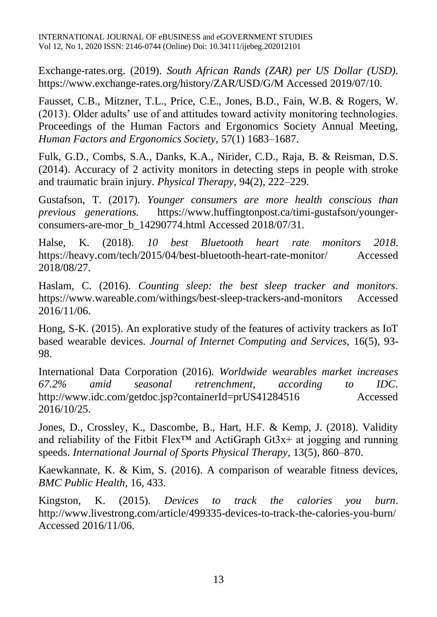Exchange-rates.org. (2019). *South African Rands (ZAR) per US Dollar (USD)*. https://www.exchange-rates.org/history/ZAR/USD/G/M Accessed 2019/07/10.

Fausset, C.B., Mitzner, T.L., Price, C.E., Jones, B.D., Fain, W.B. & Rogers, W. (2013). Older adults' use of and attitudes toward activity monitoring technologies. Proceedings of the Human Factors and Ergonomics Society Annual Meeting, *Human Factors and Ergonomics Society*, 57(1) 1683–1687.

Fulk, G.D., Combs, S.A., Danks, K.A., Nirider, C.D., Raja, B. & Reisman, D.S. (2014). Accuracy of 2 activity monitors in detecting steps in people with stroke and traumatic brain injury. *Physical Therapy*, 94(2), 222–229.

Gustafson, T. (2017). *Younger consumers are more health conscious than previous generations.* https://www.huffingtonpost.ca/timi-gustafson/youngerconsumers-are-mor\_b\_14290774.html Accessed 2018/07/31.

Halse, K. (2018). *10 best Bluetooth heart rate monitors 2018*. https://heavy.com/tech/2015/04/best-bluetooth-heart-rate-monitor/ Accessed 2018/08/27.

Haslam, C. (2016). *Counting sleep: the best sleep tracker and monitors*. https://www.wareable.com/withings/best-sleep-trackers-and-monitors Accessed 2016/11/06.

Hong, S-K. (2015). An explorative study of the features of activity trackers as IoT based wearable devices. *Journal of Internet Computing and Services,* 16(5), 93- 98.

International Data Corporation (2016). *Worldwide wearables market increases 67.2% amid seasonal retrenchment, according to IDC*. http://www.idc.com/getdoc.jsp?containerId=prUS41284516 Accessed 2016/10/25.

Jones, D., Crossley, K., Dascombe, B., Hart, H.F. & Kemp, J. (2018). Validity and reliability of the Fitbit Flex<sup>™</sup> and ActiGraph Gt3x+ at jogging and running speeds. *International Journal of Sports Physical Therapy*, 13(5), 860–870.

Kaewkannate, K. & Kim, S. (2016). A comparison of wearable fitness devices, *BMC Public Health*, 16, 433.

Kingston, K. (2015). *Devices to track the calories you burn*. http://www.livestrong.com/article/499335-devices-to-track-the-calories-you-burn/ Accessed 2016/11/06.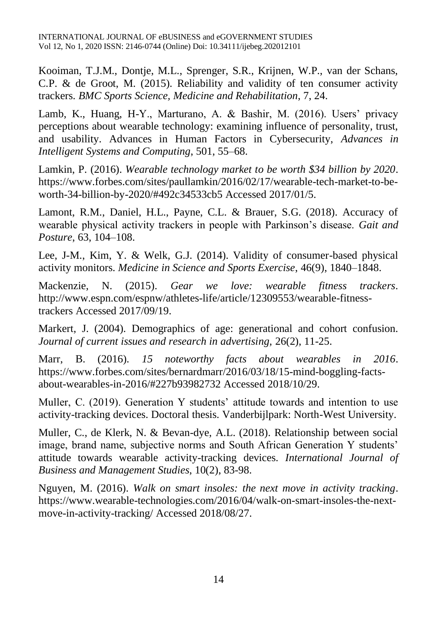Kooiman, T.J.M., Dontje, M.L., Sprenger, S.R., Krijnen, W.P., van der Schans, C.P. & de Groot, M. (2015). Reliability and validity of ten consumer activity trackers. *BMC Sports Science, Medicine and Rehabilitation*, 7, 24.

Lamb, K., Huang, H-Y., Marturano, A. & Bashir, M. (2016). Users' privacy perceptions about wearable technology: examining influence of personality, trust, and usability. Advances in Human Factors in Cybersecurity, *Advances in Intelligent Systems and Computing*, 501, 55–68.

Lamkin, P. (2016). *Wearable technology market to be worth \$34 billion by 2020*. https://www.forbes.com/sites/paullamkin/2016/02/17/wearable-tech-market-to-beworth-34-billion-by-2020/#492c34533cb5 Accessed 2017/01/5.

Lamont, R.M., Daniel, H.L., Payne, C.L. & Brauer, S.G. (2018). Accuracy of wearable physical activity trackers in people with Parkinson's disease. *Gait and Posture*, 63, 104–108.

Lee, J-M., Kim, Y. & Welk, G.J. (2014). Validity of consumer-based physical activity monitors. *Medicine in Science and Sports Exercise*, 46(9), 1840–1848.

Mackenzie, N. (2015). *Gear we love: wearable fitness trackers*. http://www.espn.com/espnw/athletes-life/article/12309553/wearable-fitnesstrackers Accessed 2017/09/19.

Markert, J. (2004). Demographics of age: generational and cohort confusion. *Journal of current issues and research in advertising,* 26(2), 11-25.

Marr, B. (2016). *15 noteworthy facts about wearables in 2016*. https://www.forbes.com/sites/bernardmarr/2016/03/18/15-mind-boggling-factsabout-wearables-in-2016/#227b93982732 Accessed 2018/10/29.

Muller, C. (2019). Generation Y students' attitude towards and intention to use activity-tracking devices. Doctoral thesis. Vanderbijlpark: North-West University.

Muller, C., de Klerk, N. & Bevan-dye, A.L. (2018). Relationship between social image, brand name, subjective norms and South African Generation Y students' attitude towards wearable activity-tracking devices. *International Journal of Business and Management Studies*, 10(2), 83-98.

Nguyen, M. (2016). *Walk on smart insoles: the next move in activity tracking*. https://www.wearable-technologies.com/2016/04/walk-on-smart-insoles-the-nextmove-in-activity-tracking/ Accessed 2018/08/27.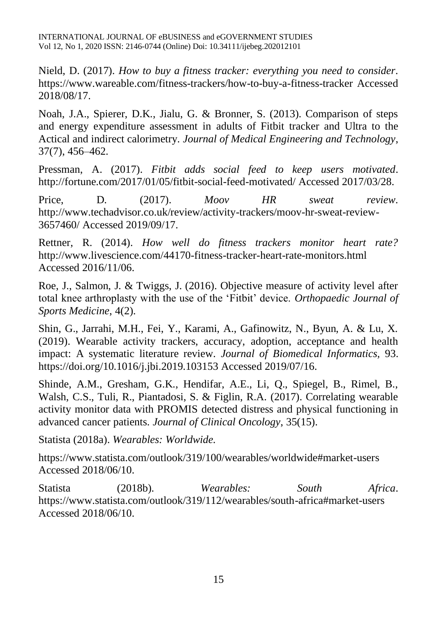Nield, D. (2017). *How to buy a fitness tracker: everything you need to consider*. https://www.wareable.com/fitness-trackers/how-to-buy-a-fitness-tracker Accessed 2018/08/17.

Noah, J.A., Spierer, D.K., Jialu, G. & Bronner, S. (2013). Comparison of steps and energy expenditure assessment in adults of Fitbit tracker and Ultra to the Actical and indirect calorimetry. *Journal of Medical Engineering and Technology*, 37(7), 456–462.

Pressman, A. (2017). *Fitbit adds social feed to keep users motivated*. http://fortune.com/2017/01/05/fitbit-social-feed-motivated/ Accessed 2017/03/28.

Price, D. (2017). *Moov HR sweat review*. http://www.techadvisor.co.uk/review/activity-trackers/moov-hr-sweat-review-3657460/ Accessed 2019/09/17.

Rettner, R. (2014). *How well do fitness trackers monitor heart rate?* http://www.livescience.com/44170-fitness-tracker-heart-rate-monitors.html Accessed 2016/11/06.

Roe, J., Salmon, J. & Twiggs, J. (2016). Objective measure of activity level after total knee arthroplasty with the use of the 'Fitbit' device. *Orthopaedic Journal of Sports Medicine*, 4(2).

Shin, G., Jarrahi, M.H., Fei, Y., Karami, A., Gafinowitz, N., Byun, A. & Lu, X. (2019). Wearable activity trackers, accuracy, adoption, acceptance and health impact: A systematic literature review. *Journal of Biomedical Informatics,* 93. https://doi.org/10.1016/j.jbi.2019.103153 Accessed 2019/07/16.

Shinde, A.M., Gresham, G.K., Hendifar, A.E., Li, Q., Spiegel, B., Rimel, B., Walsh, C.S., Tuli, R., Piantadosi, S. & Figlin, R.A. (2017). Correlating wearable activity monitor data with PROMIS detected distress and physical functioning in advanced cancer patients. *Journal of Clinical Oncology*, 35(15).

Statista (2018a). *Wearables: Worldwide.*

https://www.statista.com/outlook/319/100/wearables/worldwide#market-users Accessed 2018/06/10.

Statista (2018b). *Wearables: South Africa*. https://www.statista.com/outlook/319/112/wearables/south-africa#market-users Accessed 2018/06/10.